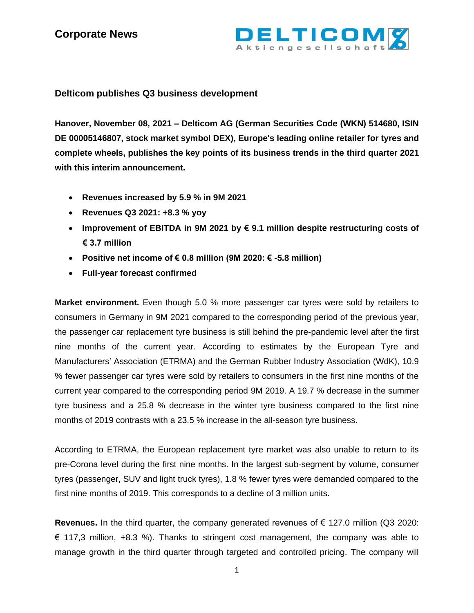

### **Delticom publishes Q3 business development**

**Hanover, November 08, 2021 – Delticom AG (German Securities Code (WKN) 514680, ISIN DE 00005146807, stock market symbol DEX), Europe's leading online retailer for tyres and complete wheels, publishes the key points of its business trends in the third quarter 2021 with this interim announcement.**

- **Revenues increased by 5.9 % in 9M 2021**
- **Revenues Q3 2021: +8.3 % yoy**
- **Improvement of EBITDA in 9M 2021 by € 9.1 million despite restructuring costs of € 3.7 million**
- **Positive net income of € 0.8 million (9M 2020: € -5.8 million)**
- **Full-year forecast confirmed**

**Market environment.** Even though 5.0 % more passenger car tyres were sold by retailers to consumers in Germany in 9M 2021 compared to the corresponding period of the previous year, the passenger car replacement tyre business is still behind the pre-pandemic level after the first nine months of the current year. According to estimates by the European Tyre and Manufacturers' Association (ETRMA) and the German Rubber Industry Association (WdK), 10.9 % fewer passenger car tyres were sold by retailers to consumers in the first nine months of the current year compared to the corresponding period 9M 2019. A 19.7 % decrease in the summer tyre business and a 25.8 % decrease in the winter tyre business compared to the first nine months of 2019 contrasts with a 23.5 % increase in the all-season tyre business.

According to ETRMA, the European replacement tyre market was also unable to return to its pre-Corona level during the first nine months. In the largest sub-segment by volume, consumer tyres (passenger, SUV and light truck tyres), 1.8 % fewer tyres were demanded compared to the first nine months of 2019. This corresponds to a decline of 3 million units.

**Revenues.** In the third quarter, the company generated revenues of  $\epsilon$  127.0 million (Q3 2020:  $\epsilon$  117,3 million, +8.3 %). Thanks to stringent cost management, the company was able to manage growth in the third quarter through targeted and controlled pricing. The company will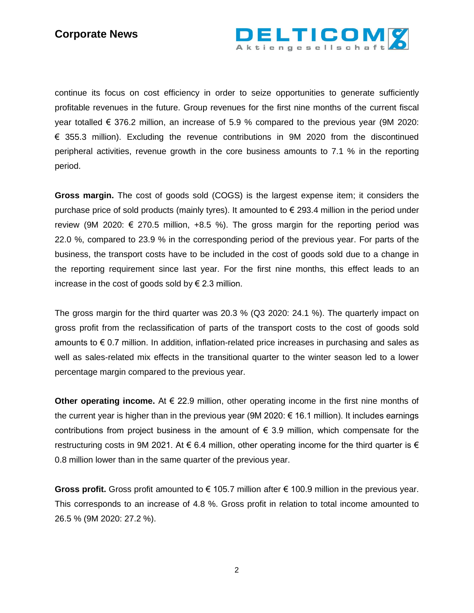

continue its focus on cost efficiency in order to seize opportunities to generate sufficiently profitable revenues in the future. Group revenues for the first nine months of the current fiscal year totalled € 376.2 million, an increase of 5.9 % compared to the previous year (9M 2020:  $\epsilon$  355.3 million). Excluding the revenue contributions in 9M 2020 from the discontinued peripheral activities, revenue growth in the core business amounts to 7.1 % in the reporting period.

**Gross margin.** The cost of goods sold (COGS) is the largest expense item; it considers the purchase price of sold products (mainly tyres). It amounted to  $\epsilon$  293.4 million in the period under review (9M 2020:  $\epsilon$  270.5 million, +8.5 %). The gross margin for the reporting period was 22.0 %, compared to 23.9 % in the corresponding period of the previous year. For parts of the business, the transport costs have to be included in the cost of goods sold due to a change in the reporting requirement since last year. For the first nine months, this effect leads to an increase in the cost of goods sold by  $\epsilon$  2.3 million.

The gross margin for the third quarter was 20.3 % (Q3 2020: 24.1 %). The quarterly impact on gross profit from the reclassification of parts of the transport costs to the cost of goods sold amounts to  $\epsilon$  0.7 million. In addition, inflation-related price increases in purchasing and sales as well as sales-related mix effects in the transitional quarter to the winter season led to a lower percentage margin compared to the previous year.

**Other operating income.** At € 22.9 million, other operating income in the first nine months of the current year is higher than in the previous year (9M 2020: € 16.1 million). It includes earnings contributions from project business in the amount of  $\epsilon$  3.9 million, which compensate for the restructuring costs in 9M 2021. At  $\epsilon$  6.4 million, other operating income for the third quarter is  $\epsilon$ 0.8 million lower than in the same quarter of the previous year.

**Gross profit.** Gross profit amounted to € 105.7 million after € 100.9 million in the previous year. This corresponds to an increase of 4.8 %. Gross profit in relation to total income amounted to 26.5 % (9M 2020: 27.2 %).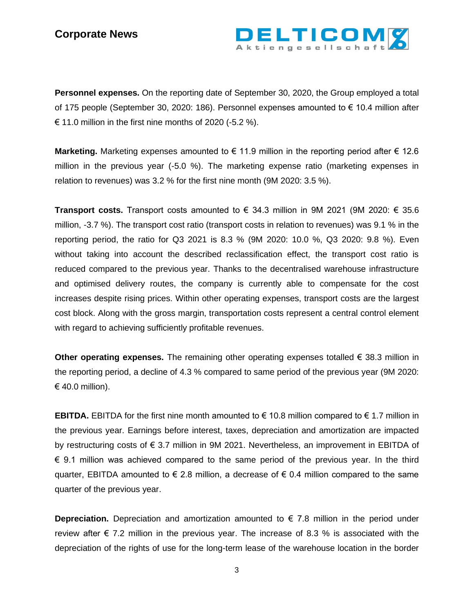

**Personnel expenses.** On the reporting date of September 30, 2020, the Group employed a total of 175 people (September 30, 2020: 186). Personnel expenses amounted to € 10.4 million after € 11.0 million in the first nine months of 2020  $(-5.2 \%)$ .

**Marketing.** Marketing expenses amounted to € 11.9 million in the reporting period after € 12.6 million in the previous year (-5.0 %). The marketing expense ratio (marketing expenses in relation to revenues) was 3.2 % for the first nine month (9M 2020: 3.5 %).

**Transport costs.** Transport costs amounted to € 34.3 million in 9M 2021 (9M 2020: € 35.6 million, -3.7 %). The transport cost ratio (transport costs in relation to revenues) was 9.1 % in the reporting period, the ratio for Q3 2021 is 8.3 % (9M 2020: 10.0 %, Q3 2020: 9.8 %). Even without taking into account the described reclassification effect, the transport cost ratio is reduced compared to the previous year. Thanks to the decentralised warehouse infrastructure and optimised delivery routes, the company is currently able to compensate for the cost increases despite rising prices. Within other operating expenses, transport costs are the largest cost block. Along with the gross margin, transportation costs represent a central control element with regard to achieving sufficiently profitable revenues.

**Other operating expenses.** The remaining other operating expenses totalled € 38.3 million in the reporting period, a decline of 4.3 % compared to same period of the previous year (9M 2020: € 40.0 million).

**EBITDA.** EBITDA for the first nine month amounted to € 10.8 million compared to € 1.7 million in the previous year. Earnings before interest, taxes, depreciation and amortization are impacted by restructuring costs of € 3.7 million in 9M 2021. Nevertheless, an improvement in EBITDA of € 9.1 million was achieved compared to the same period of the previous year. In the third quarter, EBITDA amounted to  $\epsilon$  2.8 million, a decrease of  $\epsilon$  0.4 million compared to the same quarter of the previous year.

**Depreciation.** Depreciation and amortization amounted to  $\epsilon$  7.8 million in the period under review after  $\epsilon$  7.2 million in the previous year. The increase of 8.3 % is associated with the depreciation of the rights of use for the long-term lease of the warehouse location in the border

3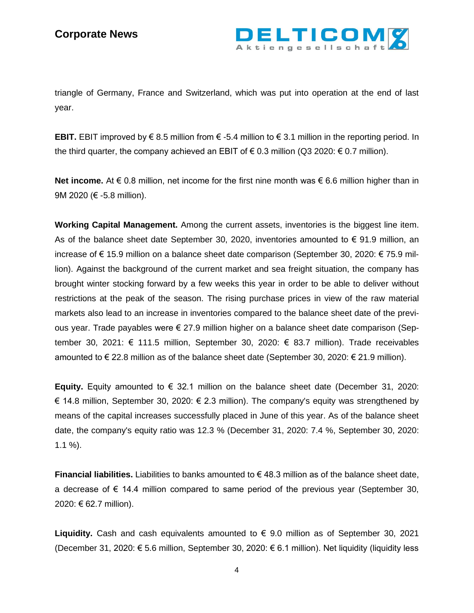

triangle of Germany, France and Switzerland, which was put into operation at the end of last year.

**EBIT.** EBIT improved by € 8.5 million from € -5.4 million to € 3.1 million in the reporting period. In the third quarter, the company achieved an EBIT of  $\epsilon$  0.3 million (Q3 2020:  $\epsilon$  0.7 million).

**Net income.** At € 0.8 million, net income for the first nine month was  $€ 6.6$  million higher than in 9M 2020 (€ -5.8 million).

**Working Capital Management.** Among the current assets, inventories is the biggest line item. As of the balance sheet date September 30, 2020, inventories amounted to  $\epsilon$  91.9 million, an increase of € 15.9 million on a balance sheet date comparison (September 30, 2020: € 75.9 million). Against the background of the current market and sea freight situation, the company has brought winter stocking forward by a few weeks this year in order to be able to deliver without restrictions at the peak of the season. The rising purchase prices in view of the raw material markets also lead to an increase in inventories compared to the balance sheet date of the previous year. Trade payables were € 27.9 million higher on a balance sheet date comparison (September 30, 2021: € 111.5 million, September 30, 2020: € 83.7 million). Trade receivables amounted to € 22.8 million as of the balance sheet date (September 30, 2020: € 21.9 million).

**Equity.** Equity amounted to € 32.1 million on the balance sheet date (December 31, 2020: € 14.8 million, September 30, 2020: € 2.3 million). The company's equity was strengthened by means of the capital increases successfully placed in June of this year. As of the balance sheet date, the company's equity ratio was 12.3 % (December 31, 2020: 7.4 %, September 30, 2020: 1.1 %).

**Financial liabilities.** Liabilities to banks amounted to € 48.3 million as of the balance sheet date, a decrease of  $\epsilon$  14.4 million compared to same period of the previous year (September 30, 2020: € 62.7 million).

**Liquidity.** Cash and cash equivalents amounted to € 9.0 million as of September 30, 2021 (December 31, 2020: € 5.6 million, September 30, 2020: € 6.1 million). Net liquidity (liquidity less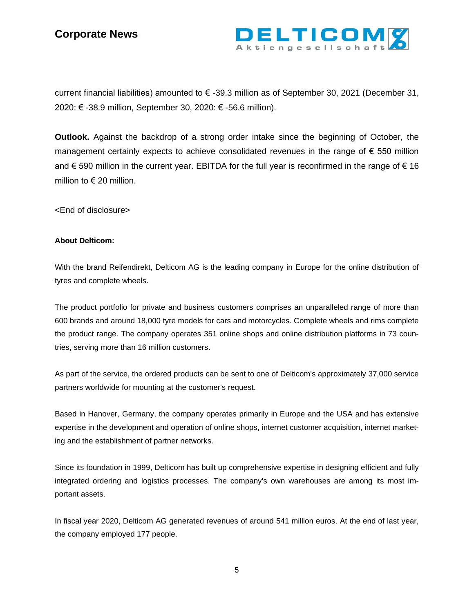

current financial liabilities) amounted to € -39.3 million as of September 30, 2021 (December 31, 2020: € -38.9 million, September 30, 2020: € -56.6 million).

**Outlook.** Against the backdrop of a strong order intake since the beginning of October, the management certainly expects to achieve consolidated revenues in the range of  $\epsilon$  550 million and € 590 million in the current year. EBITDA for the full year is reconfirmed in the range of € 16 million to  $\in$  20 million.

<End of disclosure>

#### **About Delticom:**

With the brand Reifendirekt, Delticom AG is the leading company in Europe for the online distribution of tyres and complete wheels.

The product portfolio for private and business customers comprises an unparalleled range of more than 600 brands and around 18,000 tyre models for cars and motorcycles. Complete wheels and rims complete the product range. The company operates 351 online shops and online distribution platforms in 73 countries, serving more than 16 million customers.

As part of the service, the ordered products can be sent to one of Delticom's approximately 37,000 service partners worldwide for mounting at the customer's request.

Based in Hanover, Germany, the company operates primarily in Europe and the USA and has extensive expertise in the development and operation of online shops, internet customer acquisition, internet marketing and the establishment of partner networks.

Since its foundation in 1999, Delticom has built up comprehensive expertise in designing efficient and fully integrated ordering and logistics processes. The company's own warehouses are among its most important assets.

In fiscal year 2020, Delticom AG generated revenues of around 541 million euros. At the end of last year, the company employed 177 people.